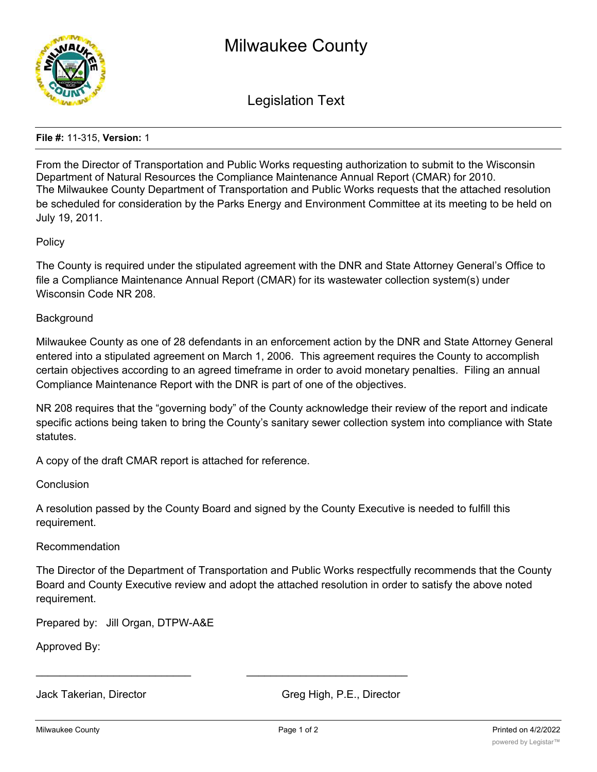

Legislation Text

## **File #:** 11-315, **Version:** 1

From the Director of Transportation and Public Works requesting authorization to submit to the Wisconsin Department of Natural Resources the Compliance Maintenance Annual Report (CMAR) for 2010. The Milwaukee County Department of Transportation and Public Works requests that the attached resolution be scheduled for consideration by the Parks Energy and Environment Committee at its meeting to be held on July 19, 2011.

## **Policy**

The County is required under the stipulated agreement with the DNR and State Attorney General's Office to file a Compliance Maintenance Annual Report (CMAR) for its wastewater collection system(s) under Wisconsin Code NR 208.

#### **Background**

Milwaukee County as one of 28 defendants in an enforcement action by the DNR and State Attorney General entered into a stipulated agreement on March 1, 2006. This agreement requires the County to accomplish certain objectives according to an agreed timeframe in order to avoid monetary penalties. Filing an annual Compliance Maintenance Report with the DNR is part of one of the objectives.

NR 208 requires that the "governing body" of the County acknowledge their review of the report and indicate specific actions being taken to bring the County's sanitary sewer collection system into compliance with State statutes.

A copy of the draft CMAR report is attached for reference.

Conclusion

A resolution passed by the County Board and signed by the County Executive is needed to fulfill this requirement.

# Recommendation

The Director of the Department of Transportation and Public Works respectfully recommends that the County Board and County Executive review and adopt the attached resolution in order to satisfy the above noted requirement.

Prepared by: Jill Organ, DTPW-A&E

Approved By:

Jack Takerian, Director Greg High, P.E., Director